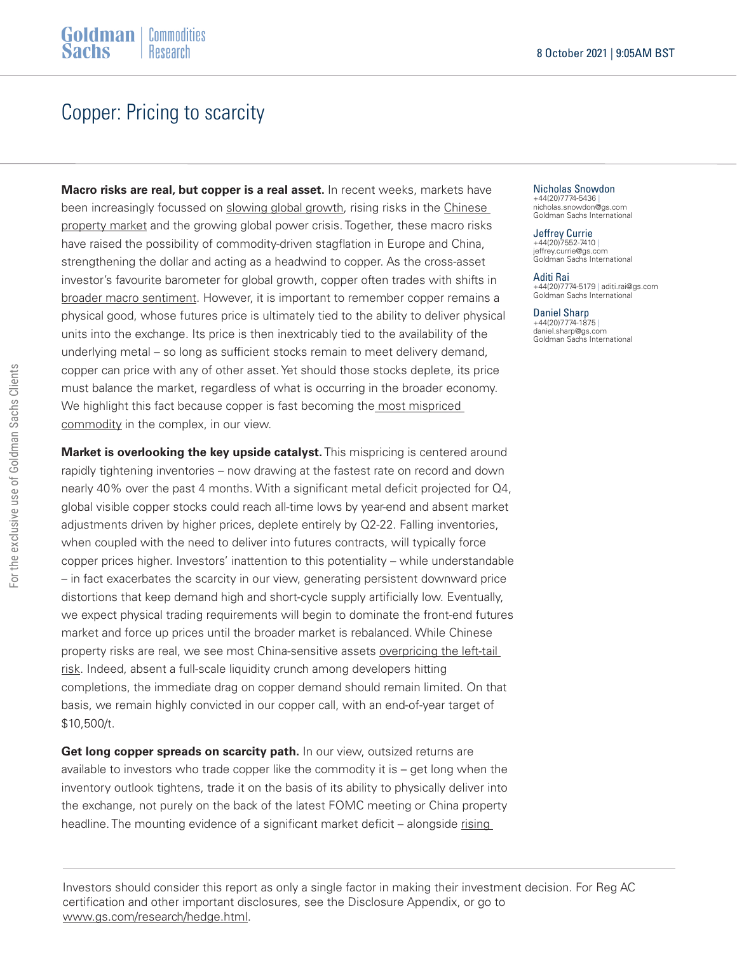## Copper: Pricing to scarcity

**Macro risks are real, but copper is a real asset.** In recent weeks, markets have been increasingly focussed on [slowing global growth,](https://publishing.gs.com/content/research/en/reports/2021/10/04/62fe949c-0e6f-4aa8-8a47-f98aa1e2b24b.html) rising risks in the [Chinese](https://publishing.gs.com/content/research/en/reports/2021/09/19/207e32e1-b09a-4063-a02b-a9f72083ff28.html) [property market](https://publishing.gs.com/content/research/en/reports/2021/09/19/207e32e1-b09a-4063-a02b-a9f72083ff28.html) and the growing global power crisis. Together, these macro risks have raised the possibility of commodity-driven stagflation in Europe and China, strengthening the dollar and acting as a headwind to copper. As the cross-asset investor's favourite barometer for global growth, copper often trades with shifts in [broader macro sentiment.](https://publishing.gs.com/content/research/en/reports/2021/10/06/fc342a54-0fef-4479-9303-2164a5711c65.html) However, it is important to remember copper remains a physical good, whose futures price is ultimately tied to the ability to deliver physical units into the exchange. Its price is then inextricably tied to the availability of the underlying metal – so long as sufficient stocks remain to meet delivery demand, copper can price with any of other asset. Yet should those stocks deplete, its price must balance the market, regardless of what is occurring in the broader economy. We highlight this fact because copper is fast becoming th[e most mispriced](https://publishing.gs.com/content/research/en/reports/2021/08/30/681130c1-ec39-4028-920b-4b0bb5e3d92a.html) [commodity](https://publishing.gs.com/content/research/en/reports/2021/08/30/681130c1-ec39-4028-920b-4b0bb5e3d92a.html) in the complex, in our view.

**Market is overlooking the key upside catalyst.** This mispricing is centered around rapidly tightening inventories – now drawing at the fastest rate on record and down nearly 40% over the past 4 months. With a significant metal deficit projected for Q4, global visible copper stocks could reach all-time lows by year-end and absent market adjustments driven by higher prices, deplete entirely by Q2-22. Falling inventories, when coupled with the need to deliver into futures contracts, will typically force copper prices higher. Investors' inattention to this potentiality – while understandable – in fact exacerbates the scarcity in our view, generating persistent downward price distortions that keep demand high and short-cycle supply artificially low. Eventually, we expect physical trading requirements will begin to dominate the front-end futures market and force up prices until the broader market is rebalanced. While Chinese property risks are real, we see most China-sensitive assets [overpricing the left-tail](https://publishing.gs.com/content/research/en/reports/2021/10/06/fc342a54-0fef-4479-9303-2164a5711c65.html) [risk.](https://publishing.gs.com/content/research/en/reports/2021/10/06/fc342a54-0fef-4479-9303-2164a5711c65.html) Indeed, absent a full-scale liquidity crunch among developers hitting completions, the immediate drag on copper demand should remain limited. On that basis, we remain highly convicted in our copper call, with an end-of-year target of \$10,500/t.

Get long copper spreads on scarcity path. In our view, outsized returns are available to investors who trade copper like the commodity it is – get long when the inventory outlook tightens, trade it on the basis of its ability to physically deliver into the exchange, not purely on the back of the latest FOMC meeting or China property headline. The mounting evidence of a significant market deficit – alongside [rising](https://publishing.gs.com/content/research/en/reports/2021/09/26/8bc150f2-5137-449f-8928-a14a38bf598d.html)

Nicholas Snowdon

+44(20)7774-5436 | [nicholas.snowdon@gs.com](mailto:nicholas.snowdon@gs.com?subject=Copper%3A%20Pricing%20to%20scarcity) Goldman Sachs International

#### Jeffrey Currie  $+44(20)7552-7410$ [jeffrey.currie@gs.com](mailto:jeffrey.currie@gs.com?subject=Copper%3A%20Pricing%20to%20scarcity)

Goldman Sachs International

Aditi Rai +44(20)7774-5179 | [aditi.rai@gs.com](mailto:aditi.rai@gs.com?subject=Copper%3A%20Pricing%20to%20scarcity) Goldman Sachs International

## Daniel Sharp +44(20)7774-1875 |

[daniel.sharp@gs.com](mailto:daniel.sharp@gs.com?subject=Copper%3A%20Pricing%20to%20scarcity) Goldman Sachs International

Investors should consider this report as only a single factor in making their investment decision. For Reg AC certification and other important disclosures, see the Disclosure Appendix, or go to [www.gs.com/research/hedge.html.](https://www.gs.com/research/hedge.html)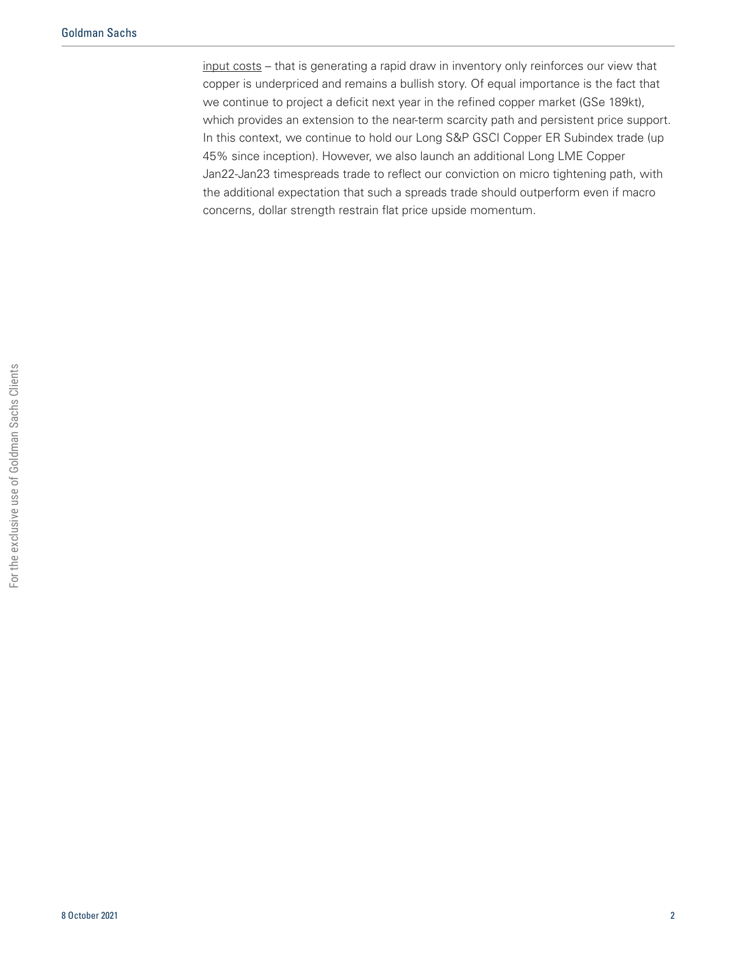[input costs](https://publishing.gs.com/content/research/en/reports/2021/09/26/8bc150f2-5137-449f-8928-a14a38bf598d.html) – that is generating a rapid draw in inventory only reinforces our view that copper is underpriced and remains a bullish story. Of equal importance is the fact that we continue to project a deficit next year in the refined copper market (GSe 189kt), which provides an extension to the near-term scarcity path and persistent price support. In this context, we continue to hold our Long S&P GSCI Copper ER Subindex trade (up 45% since inception). However, we also launch an additional Long LME Copper Jan22-Jan23 timespreads trade to reflect our conviction on micro tightening path, with the additional expectation that such a spreads trade should outperform even if macro concerns, dollar strength restrain flat price upside momentum.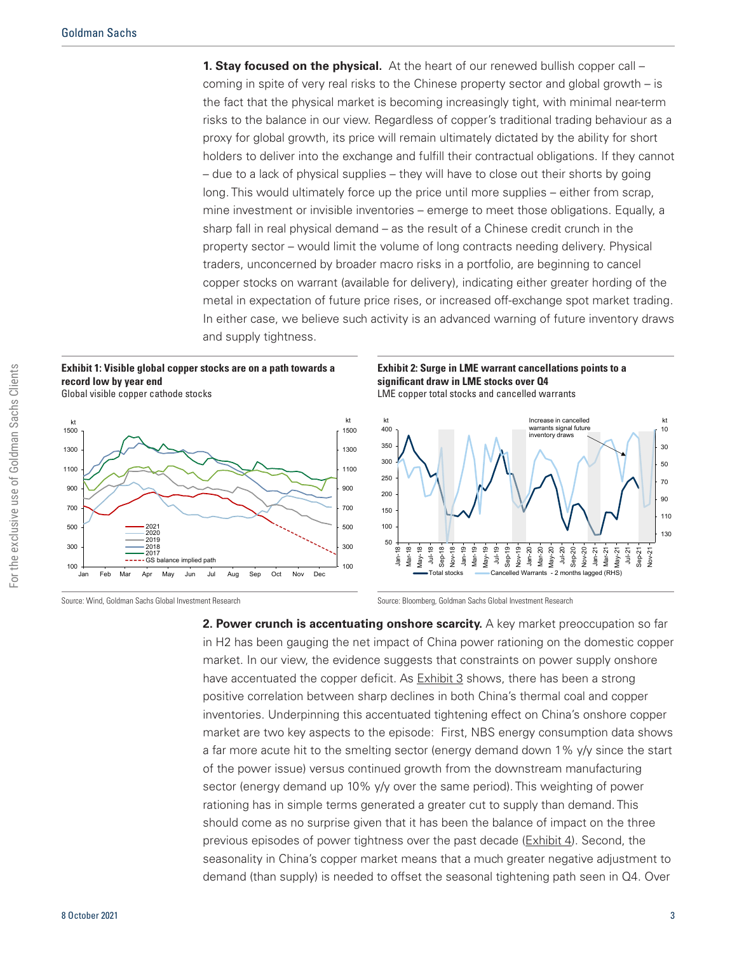**1. Stay focused on the physical.** At the heart of our renewed bullish copper call – coming in spite of very real risks to the Chinese property sector and global growth – is the fact that the physical market is becoming increasingly tight, with minimal near-term risks to the balance in our view. Regardless of copper's traditional trading behaviour as a proxy for global growth, its price will remain ultimately dictated by the ability for short holders to deliver into the exchange and fulfill their contractual obligations. If they cannot – due to a lack of physical supplies – they will have to close out their shorts by going long. This would ultimately force up the price until more supplies – either from scrap, mine investment or invisible inventories – emerge to meet those obligations. Equally, a sharp fall in real physical demand – as the result of a Chinese credit crunch in the property sector – would limit the volume of long contracts needing delivery. Physical traders, unconcerned by broader macro risks in a portfolio, are beginning to cancel copper stocks on warrant (available for delivery), indicating either greater hording of the metal in expectation of future price rises, or increased off-exchange spot market trading. In either case, we believe such activity is an advanced warning of future inventory draws and supply tightness.

**Exhibit 1: Visible global copper stocks are on a path towards a record low by year end** Global visible copper cathode stocks



**Exhibit 2: Surge in LME warrant cancellations points to a significant draw in LME stocks over Q4** LME copper total stocks and cancelled warrants



Source: Wind, Goldman Sachs Global Investment Research Source: Bloomberg, Goldman Sachs Global Investment Research

**2. Power crunch is accentuating onshore scarcity.** A key market preoccupation so far in H2 has been gauging the net impact of China power rationing on the domestic copper market. In our view, the evidence suggests that constraints on power supply onshore have accentuated the copper deficit. As [Exhibit 3](#page-3-0) shows, there has been a strong positive correlation between sharp declines in both China's thermal coal and copper inventories. Underpinning this accentuated tightening effect on China's onshore copper market are two key aspects to the episode: First, NBS energy consumption data shows a far more acute hit to the smelting sector (energy demand down 1% y/y since the start of the power issue) versus continued growth from the downstream manufacturing sector (energy demand up 10% y/y over the same period). This weighting of power rationing has in simple terms generated a greater cut to supply than demand. This should come as no surprise given that it has been the balance of impact on the three previous episodes of power tightness over the past decade [\(Exhibit 4\)](#page-3-1). Second, the seasonality in China's copper market means that a much greater negative adjustment to demand (than supply) is needed to offset the seasonal tightening path seen in Q4. Over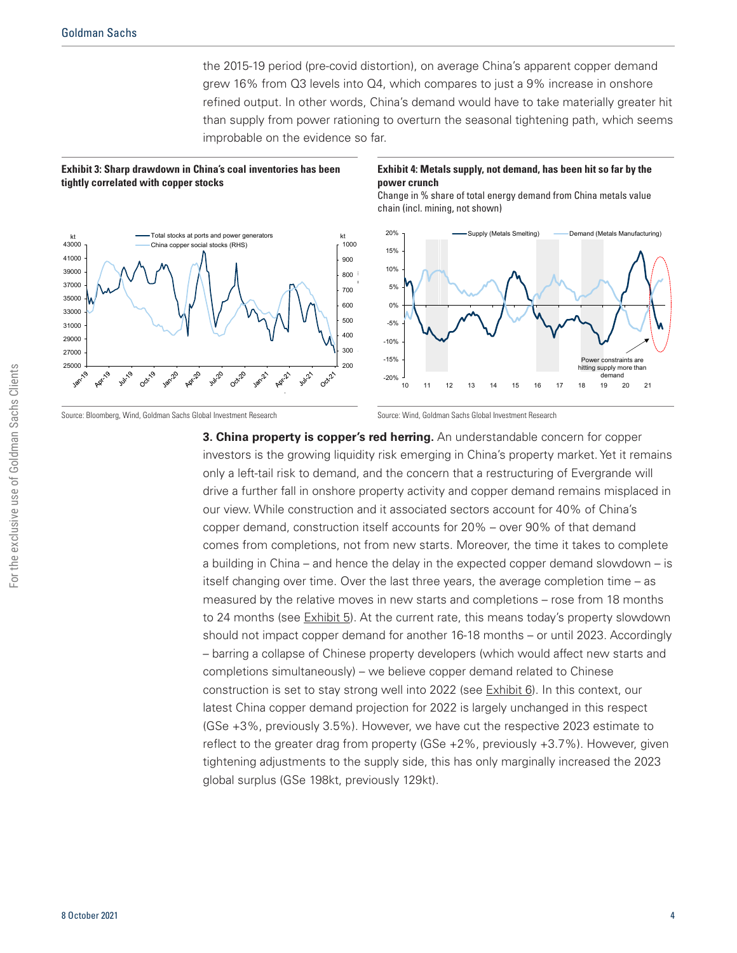the 2015-19 period (pre-covid distortion), on average China's apparent copper demand grew 16% from Q3 levels into Q4, which compares to just a 9% increase in onshore refined output. In other words, China's demand would have to take materially greater hit than supply from power rationing to overturn the seasonal tightening path, which seems improbable on the evidence so far.

### **Exhibit 3: Sharp drawdown in China's coal inventories has been tightly correlated with copper stocks**



### <span id="page-3-1"></span><span id="page-3-0"></span>**Exhibit 4: Metals supply, not demand, has been hit so far by the power crunch**

Change in % share of total energy demand from China metals value chain (incl. mining, not shown)



Source: Bloomberg, Wind, Goldman Sachs Global Investment Research Source: Wind, Goldman Sachs Global Investment Research

**3. China property is copper's red herring.** An understandable concern for copper investors is the growing liquidity risk emerging in China's property market. Yet it remains only a left-tail risk to demand, and the concern that a restructuring of Evergrande will drive a further fall in onshore property activity and copper demand remains misplaced in our view. While construction and it associated sectors account for 40% of China's copper demand, construction itself accounts for 20% – over 90% of that demand comes from completions, not from new starts. Moreover, the time it takes to complete a building in China – and hence the delay in the expected copper demand slowdown – is itself changing over time. Over the last three years, the average completion time – as measured by the relative moves in new starts and completions – rose from 18 months to 24 months (see [Exhibit 5\)](#page-4-0). At the current rate, this means today's property slowdown should not impact copper demand for another 16-18 months – or until 2023. Accordingly – barring a collapse of Chinese property developers (which would affect new starts and completions simultaneously) – we believe copper demand related to Chinese construction is set to stay strong well into 2022 (see [Exhibit 6\)](#page-4-1). In this context, our latest China copper demand projection for 2022 is largely unchanged in this respect (GSe +3%, previously 3.5%). However, we have cut the respective 2023 estimate to reflect to the greater drag from property (GSe  $+2\%$ , previously  $+3.7\%$ ). However, given tightening adjustments to the supply side, this has only marginally increased the 2023 global surplus (GSe 198kt, previously 129kt).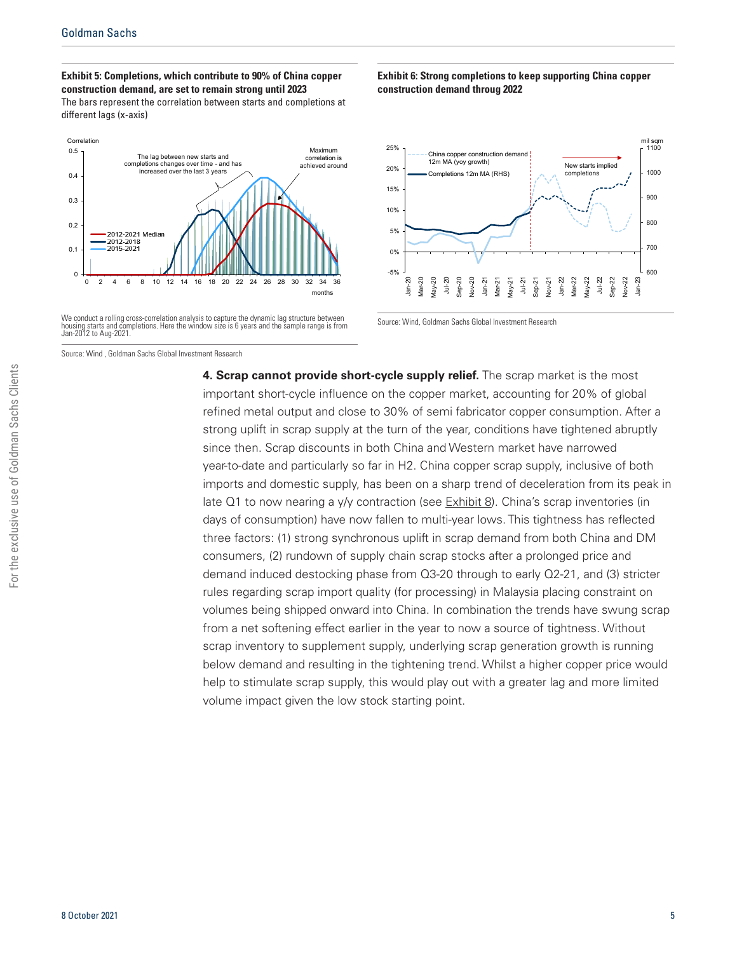**Exhibit 5: Completions, which contribute to 90% of China copper construction demand, are set to remain strong until 2023** The bars represent the correlation between starts and completions at different lags (x-axis)



We conduct a rolling cross-correlation analysis to capture the dynamic lag structure between housing starts and completions. Here the window size is 6 years and the sample range is from Jan-2012 to Aug-2021.

<span id="page-4-1"></span><span id="page-4-0"></span>**Exhibit 6: Strong completions to keep supporting China copper construction demand throug 2022**



Source: Wind, Goldman Sachs Global Investment Research

Source: Wind , Goldman Sachs Global Investment Research

**4. Scrap cannot provide short-cycle supply relief.** The scrap market is the most important short-cycle influence on the copper market, accounting for 20% of global refined metal output and close to 30% of semi fabricator copper consumption. After a strong uplift in scrap supply at the turn of the year, conditions have tightened abruptly since then. Scrap discounts in both China and Western market have narrowed year-to-date and particularly so far in H2. China copper scrap supply, inclusive of both imports and domestic supply, has been on a sharp trend of deceleration from its peak in late Q1 to now nearing a y/y contraction (see [Exhibit 8\)](#page-5-0). China's scrap inventories (in days of consumption) have now fallen to multi-year lows. This tightness has reflected three factors: (1) strong synchronous uplift in scrap demand from both China and DM consumers, (2) rundown of supply chain scrap stocks after a prolonged price and demand induced destocking phase from Q3-20 through to early Q2-21, and (3) stricter rules regarding scrap import quality (for processing) in Malaysia placing constraint on volumes being shipped onward into China. In combination the trends have swung scrap from a net softening effect earlier in the year to now a source of tightness. Without scrap inventory to supplement supply, underlying scrap generation growth is running below demand and resulting in the tightening trend. Whilst a higher copper price would help to stimulate scrap supply, this would play out with a greater lag and more limited volume impact given the low stock starting point.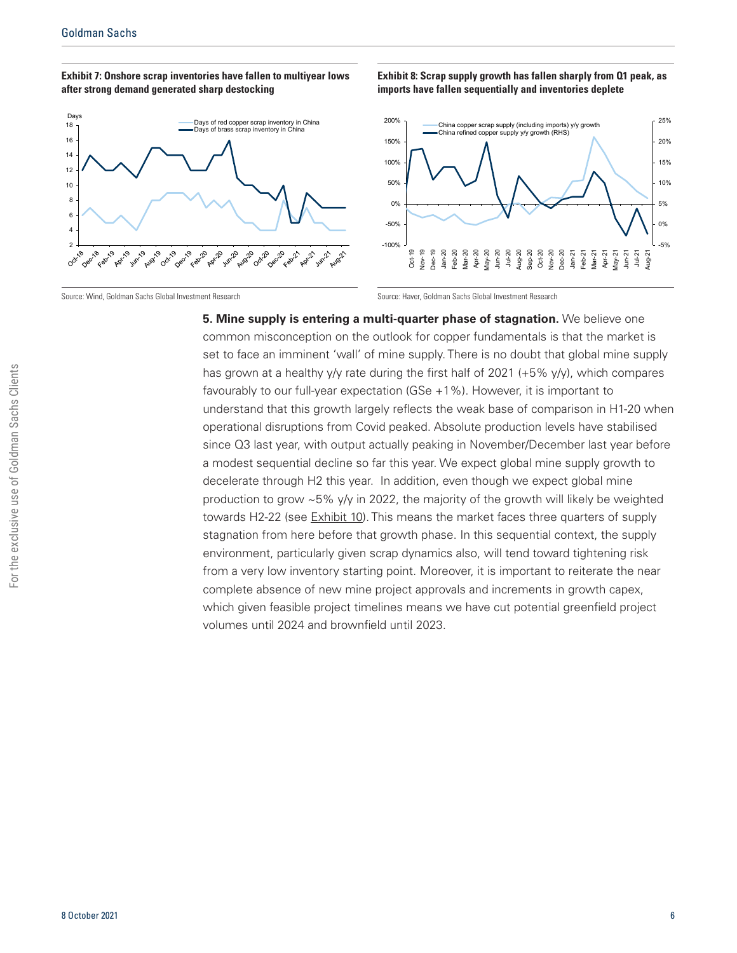### **Exhibit 7: Onshore scrap inventories have fallen to multiyear lows after strong demand generated sharp destocking**



Source: Wind, Goldman Sachs Global Investment Research Source: Haver, Goldman Sachs Global Investment Research

<span id="page-5-0"></span>**Exhibit 8: Scrap supply growth has fallen sharply from Q1 peak, as imports have fallen sequentially and inventories deplete**



**5. Mine supply is entering a multi-quarter phase of stagnation.** We believe one common misconception on the outlook for copper fundamentals is that the market is set to face an imminent 'wall' of mine supply. There is no doubt that global mine supply has grown at a healthy y/y rate during the first half of 2021 (+5% y/y), which compares favourably to our full-year expectation (GSe +1%). However, it is important to understand that this growth largely reflects the weak base of comparison in H1-20 when operational disruptions from Covid peaked. Absolute production levels have stabilised since Q3 last year, with output actually peaking in November/December last year before a modest sequential decline so far this year. We expect global mine supply growth to decelerate through H2 this year. In addition, even though we expect global mine production to grow ~5% y/y in 2022, the majority of the growth will likely be weighted towards H2-22 (see [Exhibit 10\)](#page-6-0). This means the market faces three quarters of supply stagnation from here before that growth phase. In this sequential context, the supply environment, particularly given scrap dynamics also, will tend toward tightening risk from a very low inventory starting point. Moreover, it is important to reiterate the near complete absence of new mine project approvals and increments in growth capex, which given feasible project timelines means we have cut potential greenfield project volumes until 2024 and brownfield until 2023.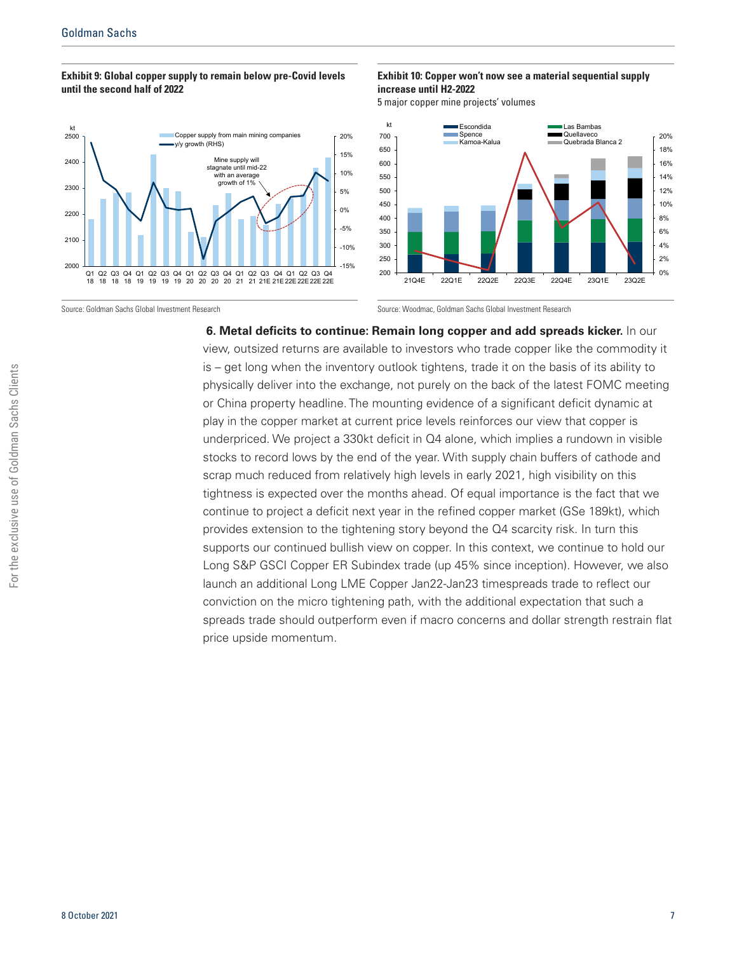### **Exhibit 9: Global copper supply to remain below pre-Covid levels until the second half of 2022**



### <span id="page-6-0"></span>**Exhibit 10: Copper won't now see a material sequential supply increase until H2-2022**

5 major copper mine projects' volumes



Source: Goldman Sachs Global Investment Research Source: Woodmac, Goldman Sachs Global Investment Research Source: Woodmac, Goldman Sachs Global Investment Research

**6. Metal deficits to continue: Remain long copper and add spreads kicker.** In our view, outsized returns are available to investors who trade copper like the commodity it is – get long when the inventory outlook tightens, trade it on the basis of its ability to physically deliver into the exchange, not purely on the back of the latest FOMC meeting or China property headline. The mounting evidence of a significant deficit dynamic at play in the copper market at current price levels reinforces our view that copper is underpriced. We project a 330kt deficit in Q4 alone, which implies a rundown in visible stocks to record lows by the end of the year. With supply chain buffers of cathode and scrap much reduced from relatively high levels in early 2021, high visibility on this tightness is expected over the months ahead. Of equal importance is the fact that we continue to project a deficit next year in the refined copper market (GSe 189kt), which provides extension to the tightening story beyond the Q4 scarcity risk. In turn this supports our continued bullish view on copper. In this context, we continue to hold our Long S&P GSCI Copper ER Subindex trade (up 45% since inception). However, we also launch an additional Long LME Copper Jan22-Jan23 timespreads trade to reflect our conviction on the micro tightening path, with the additional expectation that such a spreads trade should outperform even if macro concerns and dollar strength restrain flat price upside momentum.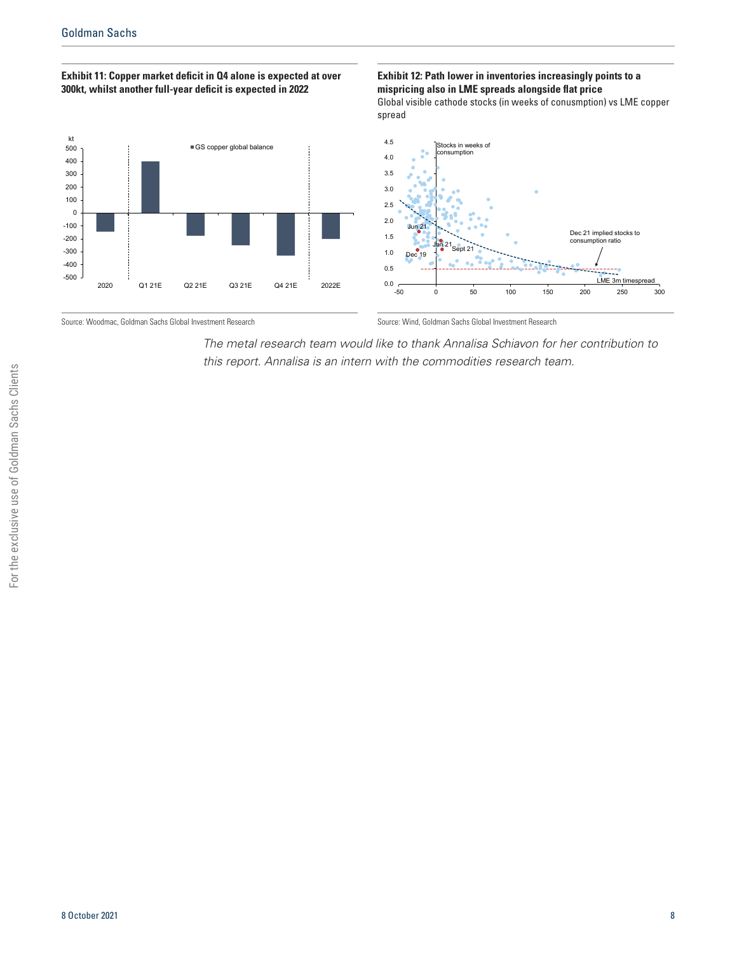**Exhibit 11: Copper market deficit in Q4 alone is expected at over 300kt, whilst another full-year deficit is expected in 2022**

**Exhibit 12: Path lower in inventories increasingly points to a mispricing also in LME spreads alongside flat price** Global visible cathode stocks (in weeks of conusmption) vs LME copper





Source: Woodmac, Goldman Sachs Global Investment Research Source: Wind, Goldman Sachs Global Investment Research

The metal research team would like to thank Annalisa Schiavon for her contribution to this report. Annalisa is an intern with the commodities research team.

spread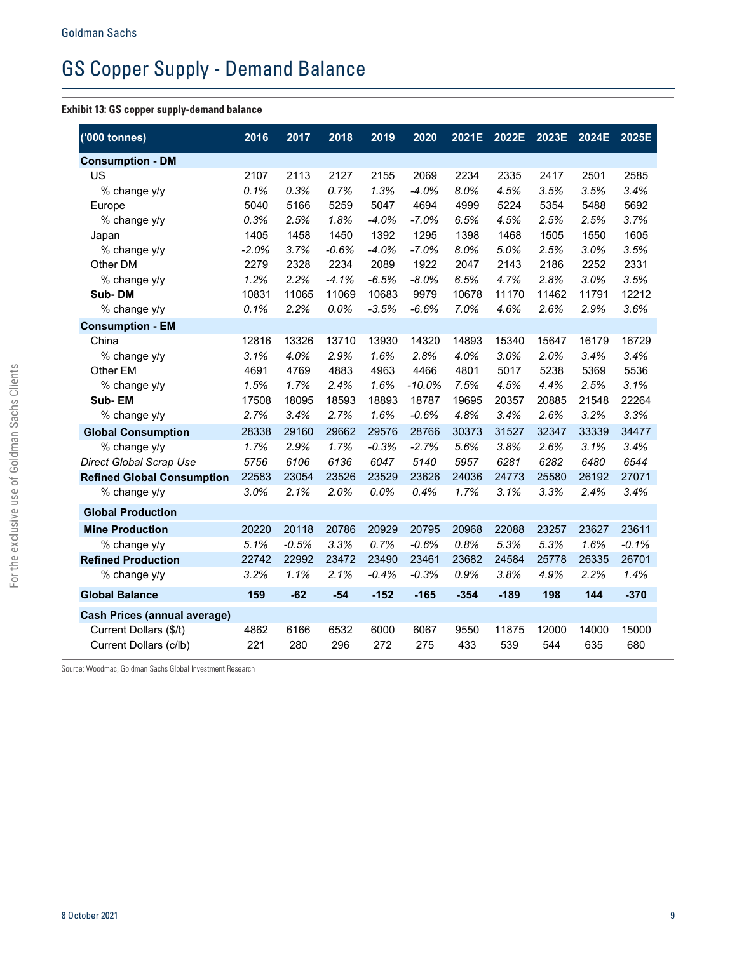# GS Copper Supply - Demand Balance

### **Exhibit 13: GS copper supply-demand balance**

| ('000 tonnes)                       | 2016    | 2017    | 2018    | 2019    | 2020     | 2021E  | 2022E  | 2023E | 2024E | 2025E   |
|-------------------------------------|---------|---------|---------|---------|----------|--------|--------|-------|-------|---------|
| <b>Consumption - DM</b>             |         |         |         |         |          |        |        |       |       |         |
| US                                  | 2107    | 2113    | 2127    | 2155    | 2069     | 2234   | 2335   | 2417  | 2501  | 2585    |
| % change y/y                        | 0.1%    | 0.3%    | 0.7%    | 1.3%    | $-4.0%$  | 8.0%   | 4.5%   | 3.5%  | 3.5%  | 3.4%    |
| Europe                              | 5040    | 5166    | 5259    | 5047    | 4694     | 4999   | 5224   | 5354  | 5488  | 5692    |
| % change y/y                        | 0.3%    | 2.5%    | 1.8%    | $-4.0%$ | $-7.0%$  | 6.5%   | 4.5%   | 2.5%  | 2.5%  | 3.7%    |
| Japan                               | 1405    | 1458    | 1450    | 1392    | 1295     | 1398   | 1468   | 1505  | 1550  | 1605    |
| % change y/y                        | $-2.0%$ | 3.7%    | $-0.6%$ | $-4.0%$ | $-7.0%$  | 8.0%   | 5.0%   | 2.5%  | 3.0%  | 3.5%    |
| Other DM                            | 2279    | 2328    | 2234    | 2089    | 1922     | 2047   | 2143   | 2186  | 2252  | 2331    |
| % change y/y                        | 1.2%    | 2.2%    | $-4.1%$ | $-6.5%$ | $-8.0%$  | 6.5%   | 4.7%   | 2.8%  | 3.0%  | 3.5%    |
| Sub-DM                              | 10831   | 11065   | 11069   | 10683   | 9979     | 10678  | 11170  | 11462 | 11791 | 12212   |
| % change y/y                        | 0.1%    | 2.2%    | 0.0%    | $-3.5%$ | $-6.6%$  | 7.0%   | 4.6%   | 2.6%  | 2.9%  | 3.6%    |
| <b>Consumption - EM</b>             |         |         |         |         |          |        |        |       |       |         |
| China                               | 12816   | 13326   | 13710   | 13930   | 14320    | 14893  | 15340  | 15647 | 16179 | 16729   |
| % change y/y                        | 3.1%    | 4.0%    | 2.9%    | 1.6%    | 2.8%     | 4.0%   | 3.0%   | 2.0%  | 3.4%  | 3.4%    |
| Other EM                            | 4691    | 4769    | 4883    | 4963    | 4466     | 4801   | 5017   | 5238  | 5369  | 5536    |
| % change y/y                        | 1.5%    | 1.7%    | 2.4%    | 1.6%    | $-10.0%$ | 7.5%   | 4.5%   | 4.4%  | 2.5%  | 3.1%    |
| Sub-EM                              | 17508   | 18095   | 18593   | 18893   | 18787    | 19695  | 20357  | 20885 | 21548 | 22264   |
| % change y/y                        | 2.7%    | 3.4%    | 2.7%    | 1.6%    | $-0.6%$  | 4.8%   | 3.4%   | 2.6%  | 3.2%  | 3.3%    |
| <b>Global Consumption</b>           | 28338   | 29160   | 29662   | 29576   | 28766    | 30373  | 31527  | 32347 | 33339 | 34477   |
| % change y/y                        | 1.7%    | 2.9%    | 1.7%    | $-0.3%$ | $-2.7%$  | 5.6%   | 3.8%   | 2.6%  | 3.1%  | 3.4%    |
| Direct Global Scrap Use             | 5756    | 6106    | 6136    | 6047    | 5140     | 5957   | 6281   | 6282  | 6480  | 6544    |
| <b>Refined Global Consumption</b>   | 22583   | 23054   | 23526   | 23529   | 23626    | 24036  | 24773  | 25580 | 26192 | 27071   |
| % change y/y                        | 3.0%    | 2.1%    | 2.0%    | 0.0%    | 0.4%     | 1.7%   | 3.1%   | 3.3%  | 2.4%  | 3.4%    |
| <b>Global Production</b>            |         |         |         |         |          |        |        |       |       |         |
| <b>Mine Production</b>              | 20220   | 20118   | 20786   | 20929   | 20795    | 20968  | 22088  | 23257 | 23627 | 23611   |
| % change y/y                        | 5.1%    | $-0.5%$ | 3.3%    | 0.7%    | $-0.6%$  | 0.8%   | 5.3%   | 5.3%  | 1.6%  | $-0.1%$ |
| <b>Refined Production</b>           | 22742   | 22992   | 23472   | 23490   | 23461    | 23682  | 24584  | 25778 | 26335 | 26701   |
| % change y/y                        | 3.2%    | 1.1%    | 2.1%    | $-0.4%$ | $-0.3%$  | 0.9%   | 3.8%   | 4.9%  | 2.2%  | 1.4%    |
| <b>Global Balance</b>               | 159     | $-62$   | $-54$   | $-152$  | $-165$   | $-354$ | $-189$ | 198   | 144   | $-370$  |
| <b>Cash Prices (annual average)</b> |         |         |         |         |          |        |        |       |       |         |
| Current Dollars (\$/t)              | 4862    | 6166    | 6532    | 6000    | 6067     | 9550   | 11875  | 12000 | 14000 | 15000   |
| Current Dollars (c/lb)              | 221     | 280     | 296     | 272     | 275      | 433    | 539    | 544   | 635   | 680     |

Source: Woodmac, Goldman Sachs Global Investment Research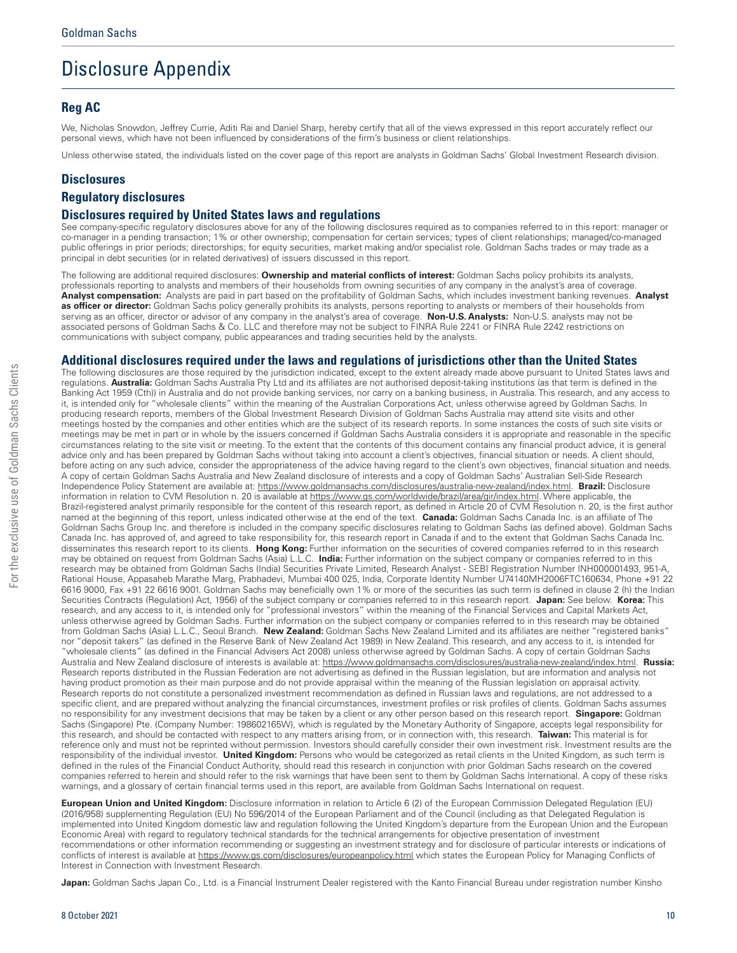## Disclosure Appendix

### **Reg AC**

We, Nicholas Snowdon, Jeffrey Currie, Aditi Rai and Daniel Sharp, hereby certify that all of the views expressed in this report accurately reflect our personal views, which have not been influenced by considerations of the firm's business or client relationships.

Unless otherwise stated, the individuals listed on the cover page of this report are analysts in Goldman Sachs' Global Investment Research division.

### **Disclosures**

### **Regulatory disclosures**

### **Disclosures required by United States laws and regulations**

See company-specific regulatory disclosures above for any of the following disclosures required as to companies referred to in this report: manager or co-manager in a pending transaction; 1% or other ownership; compensation for certain services; types of client relationships; managed/co-managed public offerings in prior periods; directorships; for equity securities, market making and/or specialist role. Goldman Sachs trades or may trade as a principal in debt securities (or in related derivatives) of issuers discussed in this report.

The following are additional required disclosures: **Ownership and material conflicts of interest:** Goldman Sachs policy prohibits its analysts, professionals reporting to analysts and members of their households from owning securities of any company in the analyst's area of coverage. **Analyst compensation:** Analysts are paid in part based on the profitability of Goldman Sachs, which includes investment banking revenues. **Analyst** as officer or director: Goldman Sachs policy generally prohibits its analysts, persons reporting to analysts or members of their households from serving as an officer, director or advisor of any company in the analyst's area of coverage. **Non-U.S. Analysts:** Non-U.S. analysts may not be associated persons of Goldman Sachs & Co. LLC and therefore may not be subject to FINRA Rule 2241 or FINRA Rule 2242 restrictions on communications with subject company, public appearances and trading securities held by the analysts.

#### **Additional disclosures required under the laws and regulations of jurisdictions other than the United States**

The following disclosures are those required by the jurisdiction indicated, except to the extent already made above pursuant to United States laws and regulations. **Australia:** Goldman Sachs Australia Pty Ltd and its affiliates are not authorised deposit-taking institutions (as that term is defined in the Banking Act 1959 (Cth)) in Australia and do not provide banking services, nor carry on a banking business, in Australia. This research, and any access to it, is intended only for "wholesale clients" within the meaning of the Australian Corporations Act, unless otherwise agreed by Goldman Sachs. In producing research reports, members of the Global Investment Research Division of Goldman Sachs Australia may attend site visits and other meetings hosted by the companies and other entities which are the subject of its research reports. In some instances the costs of such site visits or meetings may be met in part or in whole by the issuers concerned if Goldman Sachs Australia considers it is appropriate and reasonable in the specific circumstances relating to the site visit or meeting. To the extent that the contents of this document contains any financial product advice, it is general advice only and has been prepared by Goldman Sachs without taking into account a client's objectives, financial situation or needs. A client should, before acting on any such advice, consider the appropriateness of the advice having regard to the client's own objectives, financial situation and needs. A copy of certain Goldman Sachs Australia and New Zealand disclosure of interests and a copy of Goldman Sachs' Australian Sell-Side Research Independence Policy Statement are available at: [https://www.goldmansachs.com/disclosures/australia-new-zealand/index.html.](https://www.goldmansachs.com/disclosures/australia-new-zealand/index.html) **Brazil:** Disclosure information in relation to CVM Resolution n. 20 is available at [https://www.gs.com/worldwide/brazil/area/gir/index.html.](https://www.gs.com/worldwide/brazil/area/gir/index.html) Where applicable, the Brazil-registered analyst primarily responsible for the content of this research report, as defined in Article 20 of CVM Resolution n. 20, is the first author named at the beginning of this report, unless indicated otherwise at the end of the text. **Canada:** Goldman Sachs Canada Inc. is an affiliate of The Goldman Sachs Group Inc. and therefore is included in the company specific disclosures relating to Goldman Sachs (as defined above). Goldman Sachs Canada Inc. has approved of, and agreed to take responsibility for, this research report in Canada if and to the extent that Goldman Sachs Canada Inc. disseminates this research report to its clients. **Hong Kong:** Further information on the securities of covered companies referred to in this research may be obtained on request from Goldman Sachs (Asia) L.L.C. **India:** Further information on the subject company or companies referred to in this research may be obtained from Goldman Sachs (India) Securities Private Limited, Research Analyst - SEBI Registration Number INH000001493, 951-A, Rational House, Appasaheb Marathe Marg, Prabhadevi, Mumbai 400 025, India, Corporate Identity Number U74140MH2006FTC160634, Phone +91 22 6616 9000, Fax +91 22 6616 9001. Goldman Sachs may beneficially own 1% or more of the securities (as such term is defined in clause 2 (h) the Indian Securities Contracts (Regulation) Act, 1956) of the subject company or companies referred to in this research report. **Japan:** See below. **Korea:** This research, and any access to it, is intended only for "professional investors" within the meaning of the Financial Services and Capital Markets Act, unless otherwise agreed by Goldman Sachs. Further information on the subject company or companies referred to in this research may be obtained from Goldman Sachs (Asia) L.L.C., Seoul Branch. **New Zealand:** Goldman Sachs New Zealand Limited and its affiliates are neither "registered banks" nor "deposit takers" (as defined in the Reserve Bank of New Zealand Act 1989) in New Zealand. This research, and any access to it, is intended for "wholesale clients" (as defined in the Financial Advisers Act 2008) unless otherwise agreed by Goldman Sachs. A copy of certain Goldman Sachs Australia and New Zealand disclosure of interests is available at: [https://www.goldmansachs.com/disclosures/australia-new-zealand/index.html.](https://www.goldmansachs.com/disclosures/australia-new-zealand/index.html) **Russia:** Research reports distributed in the Russian Federation are not advertising as defined in the Russian legislation, but are information and analysis not having product promotion as their main purpose and do not provide appraisal within the meaning of the Russian legislation on appraisal activity. Research reports do not constitute a personalized investment recommendation as defined in Russian laws and regulations, are not addressed to a specific client, and are prepared without analyzing the financial circumstances, investment profiles or risk profiles of clients. Goldman Sachs assumes no responsibility for any investment decisions that may be taken by a client or any other person based on this research report. **Singapore:** Goldman Sachs (Singapore) Pte. (Company Number: 198602165W), which is regulated by the Monetary Authority of Singapore, accepts legal responsibility for this research, and should be contacted with respect to any matters arising from, or in connection with, this research. **Taiwan:** This material is for reference only and must not be reprinted without permission. Investors should carefully consider their own investment risk. Investment results are the responsibility of the individual investor. **United Kingdom:** Persons who would be categorized as retail clients in the United Kingdom, as such term is defined in the rules of the Financial Conduct Authority, should read this research in conjunction with prior Goldman Sachs research on the covered companies referred to herein and should refer to the risk warnings that have been sent to them by Goldman Sachs International. A copy of these risks warnings, and a glossary of certain financial terms used in this report, are available from Goldman Sachs International on request.

**European Union and United Kingdom:** Disclosure information in relation to Article 6 (2) of the European Commission Delegated Regulation (EU) (2016/958) supplementing Regulation (EU) No 596/2014 of the European Parliament and of the Council (including as that Delegated Regulation is implemented into United Kingdom domestic law and regulation following the United Kingdom's departure from the European Union and the European Economic Area) with regard to regulatory technical standards for the technical arrangements for objective presentation of investment recommendations or other information recommending or suggesting an investment strategy and for disclosure of particular interests or indications of conflicts of interest is available at<https://www.gs.com/disclosures/europeanpolicy.html>which states the European Policy for Managing Conflicts of Interest in Connection with Investment Research.

**Japan:** Goldman Sachs Japan Co., Ltd. is a Financial Instrument Dealer registered with the Kanto Financial Bureau under registration number Kinsho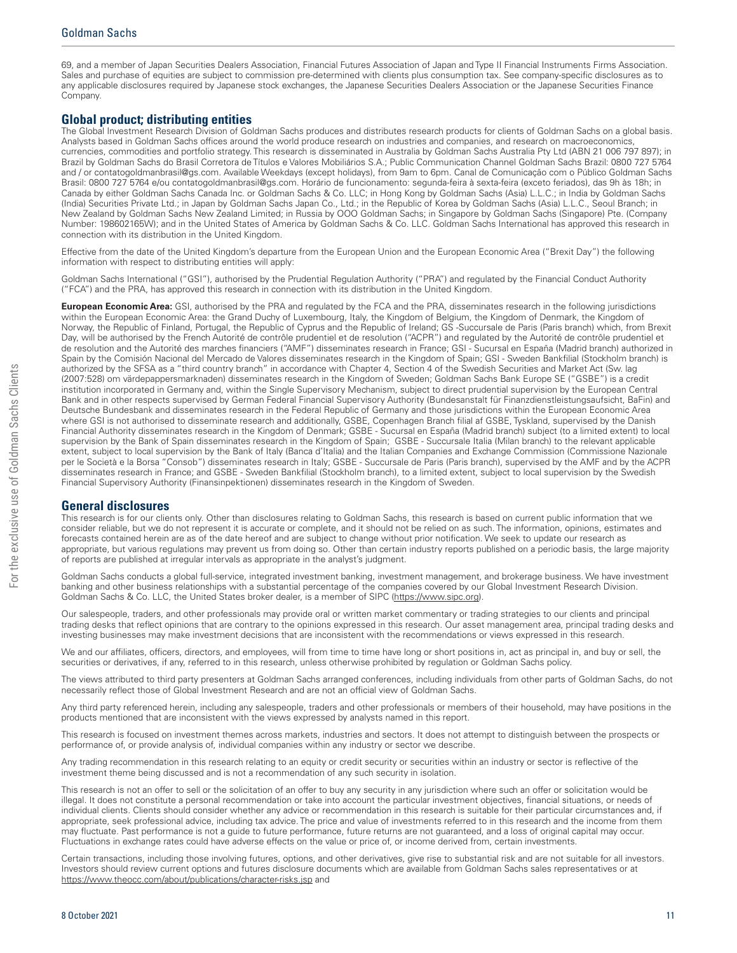69, and a member of Japan Securities Dealers Association, Financial Futures Association of Japan and Type II Financial Instruments Firms Association. Sales and purchase of equities are subject to commission pre-determined with clients plus consumption tax. See company-specific disclosures as to any applicable disclosures required by Japanese stock exchanges, the Japanese Securities Dealers Association or the Japanese Securities Finance Company.

### **Global product; distributing entities**

The Global Investment Research Division of Goldman Sachs produces and distributes research products for clients of Goldman Sachs on a global basis. Analysts based in Goldman Sachs offices around the world produce research on industries and companies, and research on macroeconomics, currencies, commodities and portfolio strategy. This research is disseminated in Australia by Goldman Sachs Australia Pty Ltd (ABN 21 006 797 897); in Brazil by Goldman Sachs do Brasil Corretora de Títulos e Valores Mobiliários S.A.; Public Communication Channel Goldman Sachs Brazil: 0800 727 5764 and / or contatogoldmanbrasil@gs.com. Available Weekdays (except holidays), from 9am to 6pm. Canal de Comunicação com o Público Goldman Sachs Brasil: 0800 727 5764 e/ou contatogoldmanbrasil@gs.com. Horário de funcionamento: segunda-feira à sexta-feira (exceto feriados), das 9h às 18h; in Canada by either Goldman Sachs Canada Inc. or Goldman Sachs & Co. LLC; in Hong Kong by Goldman Sachs (Asia) L.L.C.; in India by Goldman Sachs (India) Securities Private Ltd.; in Japan by Goldman Sachs Japan Co., Ltd.; in the Republic of Korea by Goldman Sachs (Asia) L.L.C., Seoul Branch; in New Zealand by Goldman Sachs New Zealand Limited; in Russia by OOO Goldman Sachs; in Singapore by Goldman Sachs (Singapore) Pte. (Company Number: 198602165W); and in the United States of America by Goldman Sachs & Co. LLC. Goldman Sachs International has approved this research in connection with its distribution in the United Kingdom.

Effective from the date of the United Kingdom's departure from the European Union and the European Economic Area ("Brexit Day") the following information with respect to distributing entities will apply:

Goldman Sachs International ("GSI"), authorised by the Prudential Regulation Authority ("PRA") and regulated by the Financial Conduct Authority ("FCA") and the PRA, has approved this research in connection with its distribution in the United Kingdom.

**European Economic Area:** GSI, authorised by the PRA and regulated by the FCA and the PRA, disseminates research in the following jurisdictions within the European Economic Area: the Grand Duchy of Luxembourg, Italy, the Kingdom of Belgium, the Kingdom of Denmark, the Kingdom of Norway, the Republic of Finland, Portugal, the Republic of Cyprus and the Republic of Ireland; GS -Succursale de Paris (Paris branch) which, from Brexit Day, will be authorised by the French Autorité de contrôle prudentiel et de resolution ("ACPR") and regulated by the Autorité de contrôle prudentiel et de resolution and the Autorité des marches financiers ("AMF") disseminates research in France; GSI - Sucursal en España (Madrid branch) authorized in Spain by the Comisión Nacional del Mercado de Valores disseminates research in the Kingdom of Spain; GSI - Sweden Bankfilial (Stockholm branch) is authorized by the SFSA as a "third country branch" in accordance with Chapter 4, Section 4 of the Swedish Securities and Market Act (Sw. lag (2007:528) om värdepappersmarknaden) disseminates research in the Kingdom of Sweden; Goldman Sachs Bank Europe SE ("GSBE") is a credit institution incorporated in Germany and, within the Single Supervisory Mechanism, subject to direct prudential supervision by the European Central Bank and in other respects supervised by German Federal Financial Supervisory Authority (Bundesanstalt für Finanzdienstleistungsaufsicht, BaFin) and Deutsche Bundesbank and disseminates research in the Federal Republic of Germany and those jurisdictions within the European Economic Area where GSI is not authorised to disseminate research and additionally, GSBE, Copenhagen Branch filial af GSBE, Tyskland, supervised by the Danish Financial Authority disseminates research in the Kingdom of Denmark; GSBE - Sucursal en España (Madrid branch) subject (to a limited extent) to local supervision by the Bank of Spain disseminates research in the Kingdom of Spain; GSBE - Succursale Italia (Milan branch) to the relevant applicable extent, subject to local supervision by the Bank of Italy (Banca d'Italia) and the Italian Companies and Exchange Commission (Commissione Nazionale per le Società e la Borsa "Consob") disseminates research in Italy; GSBE - Succursale de Paris (Paris branch), supervised by the AMF and by the ACPR disseminates research in France; and GSBE - Sweden Bankfilial (Stockholm branch), to a limited extent, subject to local supervision by the Swedish Financial Supervisory Authority (Finansinpektionen) disseminates research in the Kingdom of Sweden.

### **General disclosures**

This research is for our clients only. Other than disclosures relating to Goldman Sachs, this research is based on current public information that we consider reliable, but we do not represent it is accurate or complete, and it should not be relied on as such. The information, opinions, estimates and forecasts contained herein are as of the date hereof and are subject to change without prior notification. We seek to update our research as appropriate, but various regulations may prevent us from doing so. Other than certain industry reports published on a periodic basis, the large majority of reports are published at irregular intervals as appropriate in the analyst's judgment.

Goldman Sachs conducts a global full-service, integrated investment banking, investment management, and brokerage business. We have investment banking and other business relationships with a substantial percentage of the companies covered by our Global Investment Research Division. Goldman Sachs & Co. LLC, the United States broker dealer, is a member of SIPC [\(https://www.sipc.org\)](https://www.sipc.org).

Our salespeople, traders, and other professionals may provide oral or written market commentary or trading strategies to our clients and principal trading desks that reflect opinions that are contrary to the opinions expressed in this research. Our asset management area, principal trading desks and investing businesses may make investment decisions that are inconsistent with the recommendations or views expressed in this research.

We and our affiliates, officers, directors, and employees, will from time to time have long or short positions in, act as principal in, and buy or sell, the securities or derivatives, if any, referred to in this research, unless otherwise prohibited by regulation or Goldman Sachs policy.

The views attributed to third party presenters at Goldman Sachs arranged conferences, including individuals from other parts of Goldman Sachs, do not necessarily reflect those of Global Investment Research and are not an official view of Goldman Sachs.

Any third party referenced herein, including any salespeople, traders and other professionals or members of their household, may have positions in the products mentioned that are inconsistent with the views expressed by analysts named in this report.

This research is focused on investment themes across markets, industries and sectors. It does not attempt to distinguish between the prospects or performance of, or provide analysis of, individual companies within any industry or sector we describe.

Any trading recommendation in this research relating to an equity or credit security or securities within an industry or sector is reflective of the investment theme being discussed and is not a recommendation of any such security in isolation.

This research is not an offer to sell or the solicitation of an offer to buy any security in any jurisdiction where such an offer or solicitation would be illegal. It does not constitute a personal recommendation or take into account the particular investment objectives, financial situations, or needs of individual clients. Clients should consider whether any advice or recommendation in this research is suitable for their particular circumstances and, if appropriate, seek professional advice, including tax advice. The price and value of investments referred to in this research and the income from them may fluctuate. Past performance is not a guide to future performance, future returns are not guaranteed, and a loss of original capital may occur. Fluctuations in exchange rates could have adverse effects on the value or price of, or income derived from, certain investments.

Certain transactions, including those involving futures, options, and other derivatives, give rise to substantial risk and are not suitable for all investors. Investors should review current options and futures disclosure documents which are available from Goldman Sachs sales representatives or at <https://www.theocc.com/about/publications/character-risks.jsp>and